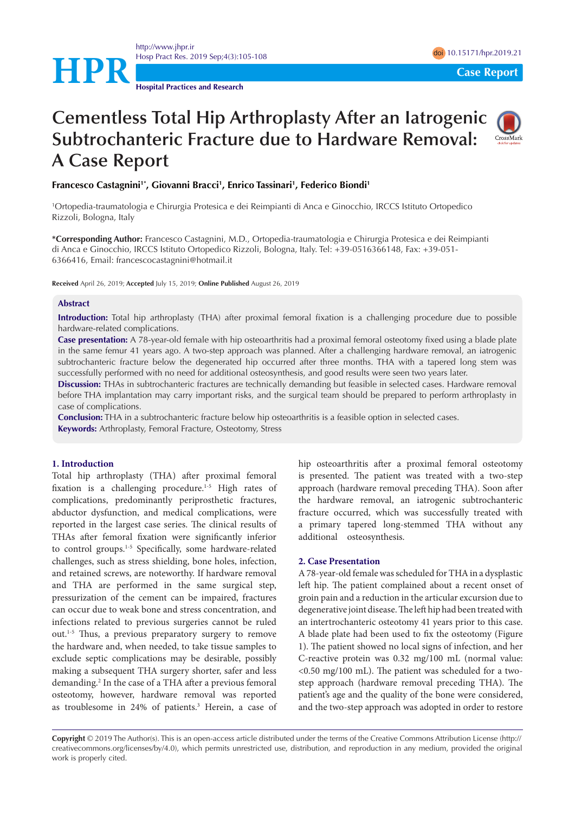<http://www.jhpr.ir> Hosp Pract Res. 2019 Sep;4(3):105-108 doi 2012 and 2012 and 2012 and 2012 and 2012 and 2012 and 2012 and 2012 and 2012 and 2012 and 2012 and 2012 and 2012 and 2012 and 2012 and 2012 and 2012 and 2012 and 2012 and 2012 and



**Hospital Practices and Research**

# **Cementless Total Hip Arthroplasty After an Iatrogenic Subtrochanteric Fracture due to Hardware Removal: A Case Report**



# **Francesco Castagnini1\*, Giovanni Bracci1 , Enrico Tassinari1 , Federico Biondi1**

1 Ortopedia-traumatologia e Chirurgia Protesica e dei Reimpianti di Anca e Ginocchio, IRCCS Istituto Ortopedico Rizzoli, Bologna, Italy

**\*Corresponding Author:** Francesco Castagnini, M.D., Ortopedia-traumatologia e Chirurgia Protesica e dei Reimpianti di Anca e Ginocchio, IRCCS Istituto Ortopedico Rizzoli, Bologna, Italy. Tel: +39-0516366148, Fax: +39-051- 6366416, Email: francescocastagnini@hotmail.it

**Received** April 26, 2019; **Accepted** July 15, 2019; **Online Published** August 26, 2019

## **Abstract**

**Introduction:** Total hip arthroplasty (THA) after proximal femoral fixation is a challenging procedure due to possible hardware-related complications.

**Case presentation:** A 78-year-old female with hip osteoarthritis had a proximal femoral osteotomy fixed using a blade plate in the same femur 41 years ago. A two-step approach was planned. After a challenging hardware removal, an iatrogenic subtrochanteric fracture below the degenerated hip occurred after three months. THA with a tapered long stem was successfully performed with no need for additional osteosynthesis, and good results were seen two years later.

**Discussion:** THAs in subtrochanteric fractures are technically demanding but feasible in selected cases. Hardware removal before THA implantation may carry important risks, and the surgical team should be prepared to perform arthroplasty in case of complications.

**Conclusion:** THA in a subtrochanteric fracture below hip osteoarthritis is a feasible option in selected cases. **Keywords:** Arthroplasty, Femoral Fracture, Osteotomy, Stress

## **1. Introduction**

Total hip arthroplasty (THA) after proximal femoral fixation is a challenging procedure.<sup>1-5</sup> High rates of complications, predominantly periprosthetic fractures, abductor dysfunction, and medical complications, were reported in the largest case series. The clinical results of THAs after femoral fixation were significantly inferior to control groups.<sup>1-5</sup> Specifically, some hardware-related challenges, such as stress shielding, bone holes, infection, and retained screws, are noteworthy. If hardware removal and THA are performed in the same surgical step, pressurization of the cement can be impaired, fractures can occur due to weak bone and stress concentration, and infections related to previous surgeries cannot be ruled out.1-5 Thus, a previous preparatory surgery to remove the hardware and, when needed, to take tissue samples to exclude septic complications may be desirable, possibly making a subsequent THA surgery shorter, safer and less demanding.2 In the case of a THA after a previous femoral osteotomy, however, hardware removal was reported as troublesome in 24% of patients.<sup>3</sup> Herein, a case of

hip osteoarthritis after a proximal femoral osteotomy is presented. The patient was treated with a two-step approach (hardware removal preceding THA). Soon after the hardware removal, an iatrogenic subtrochanteric fracture occurred, which was successfully treated with a primary tapered long-stemmed THA without any additional osteosynthesis.

#### **2. Case Presentation**

A 78-year-old female was scheduled for THA in a dysplastic left hip. The patient complained about a recent onset of groin pain and a reduction in the articular excursion due to degenerative joint disease. The left hip had been treated with an intertrochanteric osteotomy 41 years prior to this case. A blade plate had been used to fix the osteotomy (Figure 1). The patient showed no local signs of infection, and her C-reactive protein was 0.32 mg/100 mL (normal value: <0.50 mg/100 mL). The patient was scheduled for a twostep approach (hardware removal preceding THA). The patient's age and the quality of the bone were considered, and the two-step approach was adopted in order to restore

**Copyright** © 2019 The Author(s). This is an open-access article distributed under the terms of the Creative Commons Attribution License (http:// creativecommons.org/licenses/by/4.0), which permits unrestricted use, distribution, and reproduction in any medium, provided the original work is properly cited.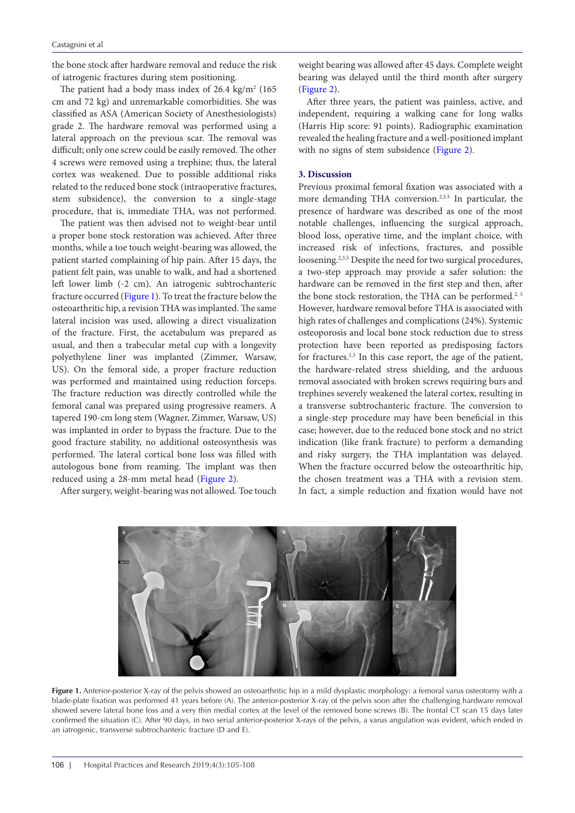the bone stock after hardware removal and reduce the risk of iatrogenic fractures during stem positioning.

The patient had a body mass index of 26.4  $\text{kg/m}^2$  (165 cm and 72 kg) and unremarkable comorbidities. She was classified as ASA (American Society of Anesthesiologists) grade 2. The hardware removal was performed using a lateral approach on the previous scar. The removal was difficult; only one screw could be easily removed. The other 4 screws were removed using a trephine; thus, the lateral cortex was weakened. Due to possible additional risks related to the reduced bone stock (intraoperative fractures, stem subsidence), the conversion to a single-stage procedure, that is, immediate THA, was not performed.

The patient was then advised not to weight-bear until a proper bone stock restoration was achieved. After three months, while a toe touch weight-bearing was allowed, the patient started complaining of hip pain. After 15 days, the patient felt pain, was unable to walk, and had a shortened left lower limb (-2 cm). An iatrogenic subtrochanteric fracture occurred [\(Figure 1\)](#page-1-0). To treat the fracture below the osteoarthritic hip, a revision THA was implanted. The same lateral incision was used, allowing a direct visualization of the fracture. First, the acetabulum was prepared as usual, and then a trabecular metal cup with a longevity polyethylene liner was implanted (Zimmer, Warsaw, US). On the femoral side, a proper fracture reduction was performed and maintained using reduction forceps. The fracture reduction was directly controlled while the femoral canal was prepared using progressive reamers. A tapered 190-cm long stem (Wagner, Zimmer, Warsaw, US) was implanted in order to bypass the fracture. Due to the good fracture stability, no additional osteosynthesis was performed. The lateral cortical bone loss was filled with autologous bone from reaming. The implant was then reduced using a 28-mm metal head [\(Figure 2](#page-2-0)).

<span id="page-1-0"></span>After surgery, weight-bearing was not allowed. Toe touch

weight bearing was allowed after 45 days. Complete weight bearing was delayed until the third month after surgery [\(Figure 2\)](#page-2-0).

After three years, the patient was painless, active, and independent, requiring a walking cane for long walks (Harris Hip score: 91 points). Radiographic examination revealed the healing fracture and a well-positioned implant with no signs of stem subsidence ([Figure 2\)](#page-2-0).

# **3. Discussion**

Previous proximal femoral fixation was associated with a more demanding THA conversion.<sup>2,3,5</sup> In particular, the presence of hardware was described as one of the most notable challenges, influencing the surgical approach, blood loss, operative time, and the implant choice, with increased risk of infections, fractures, and possible loosening.<sup>2,3,5</sup> Despite the need for two surgical procedures, a two-step approach may provide a safer solution: the hardware can be removed in the first step and then, after the bone stock restoration, the THA can be performed.<sup>2, 5</sup> However, hardware removal before THA is associated with high rates of challenges and complications (24%). Systemic osteoporosis and local bone stock reduction due to stress protection have been reported as predisposing factors for fractures.<sup>1,3</sup> In this case report, the age of the patient, the hardware-related stress shielding, and the arduous removal associated with broken screws requiring burs and trephines severely weakened the lateral cortex, resulting in a transverse subtrochanteric fracture. The conversion to a single-step procedure may have been beneficial in this case; however, due to the reduced bone stock and no strict indication (like frank fracture) to perform a demanding and risky surgery, the THA implantation was delayed. When the fracture occurred below the osteoarthritic hip, the chosen treatment was a THA with a revision stem. In fact, a simple reduction and fixation would have not



**Figure 1.** Anterior-posterior X-ray of the pelvis showed an osteoarthritic hip in a mild dysplastic morphology: a femoral varus osteotomy with a blade-plate fixation was performed 41 years before (A). The anterior-posterior X-ray of the pelvis soon after the challenging hardware removal showed severe lateral bone loss and a very thin medial cortex at the level of the removed bone screws (B). The frontal CT scan 15 days later confirmed the situation (C). After 90 days, in two serial anterior-posterior X-rays of the pelvis, a varus angulation was evident, which ended in an iatrogenic, transverse subtrochanteric fracture (D and E).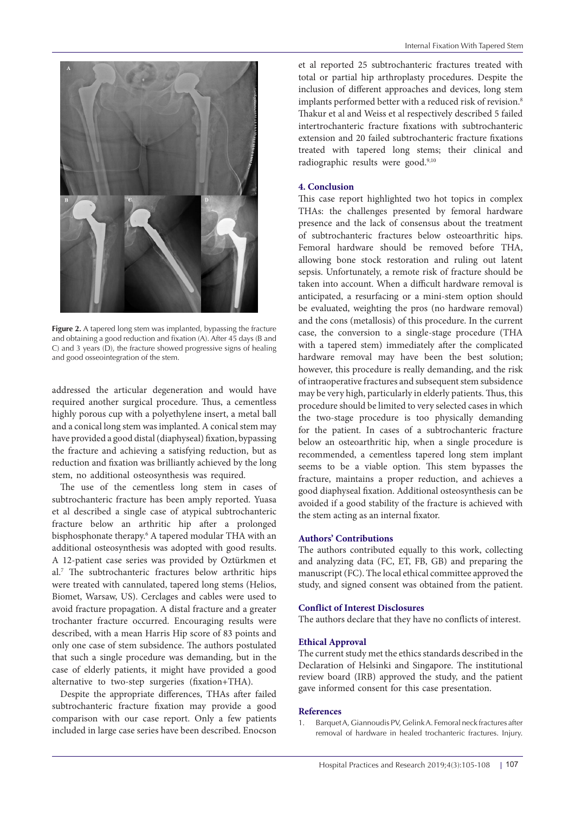<span id="page-2-0"></span>

**Figure 2.** A tapered long stem was implanted, bypassing the fracture and obtaining a good reduction and fixation (A). After 45 days (B and C) and 3 years (D), the fracture showed progressive signs of healing and good osseointegration of the stem.

addressed the articular degeneration and would have required another surgical procedure. Thus, a cementless highly porous cup with a polyethylene insert, a metal ball and a conical long stem was implanted. A conical stem may have provided a good distal (diaphyseal) fixation, bypassing the fracture and achieving a satisfying reduction, but as reduction and fixation was brilliantly achieved by the long stem, no additional osteosynthesis was required.

The use of the cementless long stem in cases of subtrochanteric fracture has been amply reported. Yuasa et al described a single case of atypical subtrochanteric fracture below an arthritic hip after a prolonged bisphosphonate therapy.<sup>6</sup> A tapered modular THA with an additional osteosynthesis was adopted with good results. A 12-patient case series was provided by Oztürkmen et al.7 The subtrochanteric fractures below arthritic hips were treated with cannulated, tapered long stems (Helios, Biomet, Warsaw, US). Cerclages and cables were used to avoid fracture propagation. A distal fracture and a greater trochanter fracture occurred. Encouraging results were described, with a mean Harris Hip score of 83 points and only one case of stem subsidence. The authors postulated that such a single procedure was demanding, but in the case of elderly patients, it might have provided a good alternative to two-step surgeries (fixation+THA).

Despite the appropriate differences, THAs after failed subtrochanteric fracture fixation may provide a good comparison with our case report. Only a few patients included in large case series have been described. Enocson et al reported 25 subtrochanteric fractures treated with total or partial hip arthroplasty procedures. Despite the inclusion of different approaches and devices, long stem implants performed better with a reduced risk of revision.<sup>8</sup> Thakur et al and Weiss et al respectively described 5 failed intertrochanteric fracture fixations with subtrochanteric extension and 20 failed subtrochanteric fracture fixations treated with tapered long stems; their clinical and radiographic results were good.<sup>9,10</sup>

# **4. Conclusion**

This case report highlighted two hot topics in complex THAs: the challenges presented by femoral hardware presence and the lack of consensus about the treatment of subtrochanteric fractures below osteoarthritic hips. Femoral hardware should be removed before THA, allowing bone stock restoration and ruling out latent sepsis. Unfortunately, a remote risk of fracture should be taken into account. When a difficult hardware removal is anticipated, a resurfacing or a mini-stem option should be evaluated, weighting the pros (no hardware removal) and the cons (metallosis) of this procedure. In the current case, the conversion to a single-stage procedure (THA with a tapered stem) immediately after the complicated hardware removal may have been the best solution; however, this procedure is really demanding, and the risk of intraoperative fractures and subsequent stem subsidence may be very high, particularly in elderly patients. Thus, this procedure should be limited to very selected cases in which the two-stage procedure is too physically demanding for the patient. In cases of a subtrochanteric fracture below an osteoarthritic hip, when a single procedure is recommended, a cementless tapered long stem implant seems to be a viable option. This stem bypasses the fracture, maintains a proper reduction, and achieves a good diaphyseal fixation. Additional osteosynthesis can be avoided if a good stability of the fracture is achieved with the stem acting as an internal fixator.

#### **Authors' Contributions**

The authors contributed equally to this work, collecting and analyzing data (FC, ET, FB, GB) and preparing the manuscript (FC). The local ethical committee approved the study, and signed consent was obtained from the patient.

## **Conflict of Interest Disclosures**

The authors declare that they have no conflicts of interest.

## **Ethical Approval**

The current study met the ethics standards described in the Declaration of Helsinki and Singapore. The institutional review board (IRB) approved the study, and the patient gave informed consent for this case presentation.

#### **References**

1. Barquet A, Giannoudis PV, Gelink A. Femoral neck fractures after removal of hardware in healed trochanteric fractures. Injury.